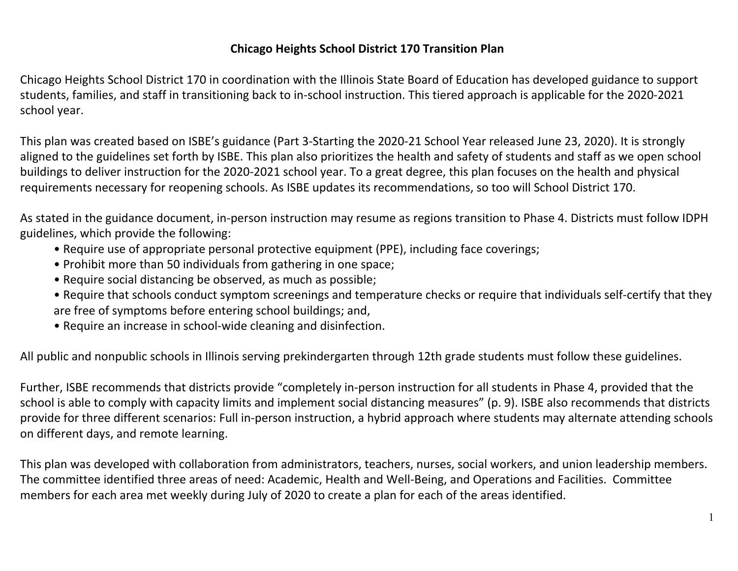#### **Chicago Heights School District 170 Transition Plan**

Chicago Heights School District 170 in coordination with the Illinois State Board of Education has developed guidance to support students, families, and staff in transitioning back to in-school instruction. This tiered approach is applicable for the 2020-2021 school year.

This plan was created based on ISBE's guidance (Part 3-Starting the 2020-21 School Year released June 23, 2020). It is strongly aligned to the guidelines set forth by ISBE. This plan also prioritizes the health and safety of students and staff as we open school buildings to deliver instruction for the 2020-2021 school year. To a great degree, this plan focuses on the health and physical requirements necessary for reopening schools. As ISBE updates its recommendations, so too will School District 170.

As stated in the guidance document, in-person instruction may resume as regions transition to Phase 4. Districts must follow IDPH guidelines, which provide the following:

- Require use of appropriate personal protective equipment (PPE), including face coverings;
- Prohibit more than 50 individuals from gathering in one space;
- Require social distancing be observed, as much as possible;
- Require that schools conduct symptom screenings and temperature checks or require that individuals self-certify that they are free of symptoms before entering school buildings; and,
- Require an increase in school-wide cleaning and disinfection.

All public and nonpublic schools in Illinois serving prekindergarten through 12th grade students must follow these guidelines.

Further, ISBE recommends that districts provide "completely in-person instruction for all students in Phase 4, provided that the school is able to comply with capacity limits and implement social distancing measures" (p. 9). ISBE also recommends that districts provide for three different scenarios: Full in-person instruction, a hybrid approach where students may alternate attending schools on different days, and remote learning.

This plan was developed with collaboration from administrators, teachers, nurses, social workers, and union leadership members. The committee identified three areas of need: Academic, Health and Well-Being, and Operations and Facilities. Committee members for each area met weekly during July of 2020 to create a plan for each of the areas identified.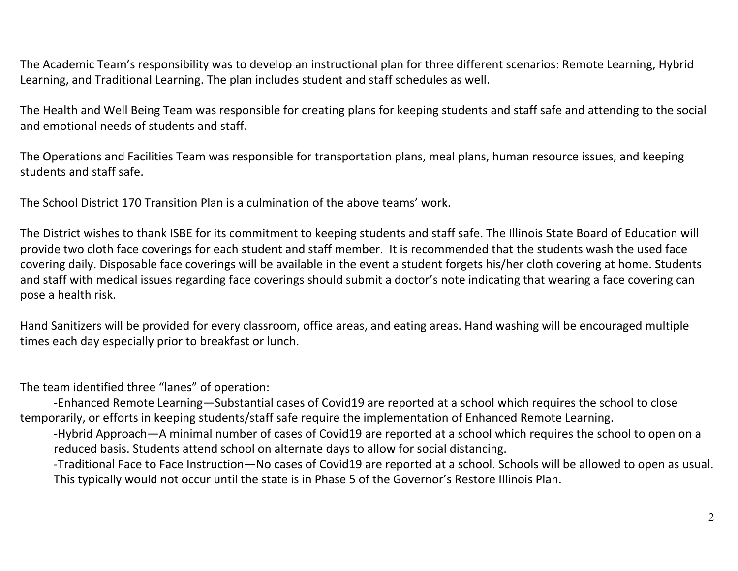The Academic Team's responsibility was to develop an instructional plan for three different scenarios: Remote Learning, Hybrid Learning, and Traditional Learning. The plan includes student and staff schedules as well.

The Health and Well Being Team was responsible for creating plans for keeping students and staff safe and attending to the social and emotional needs of students and staff.

The Operations and Facilities Team was responsible for transportation plans, meal plans, human resource issues, and keeping students and staff safe.

The School District 170 Transition Plan is a culmination of the above teams' work.

The District wishes to thank ISBE for its commitment to keeping students and staff safe. The Illinois State Board of Education will provide two cloth face coverings for each student and staff member. It is recommended that the students wash the used face covering daily. Disposable face coverings will be available in the event a student forgets his/her cloth covering at home. Students and staff with medical issues regarding face coverings should submit a doctor's note indicating that wearing a face covering can pose a health risk.

Hand Sanitizers will be provided for every classroom, office areas, and eating areas. Hand washing will be encouraged multiple times each day especially prior to breakfast or lunch.

The team identified three "lanes" of operation:

-Enhanced Remote Learning—Substantial cases of Covid19 are reported at a school which requires the school to close temporarily, or efforts in keeping students/staff safe require the implementation of Enhanced Remote Learning.

-Hybrid Approach—A minimal number of cases of Covid19 are reported at a school which requires the school to open on a reduced basis. Students attend school on alternate days to allow for social distancing.

-Traditional Face to Face Instruction—No cases of Covid19 are reported at a school. Schools will be allowed to open as usual. This typically would not occur until the state is in Phase 5 of the Governor's Restore Illinois Plan.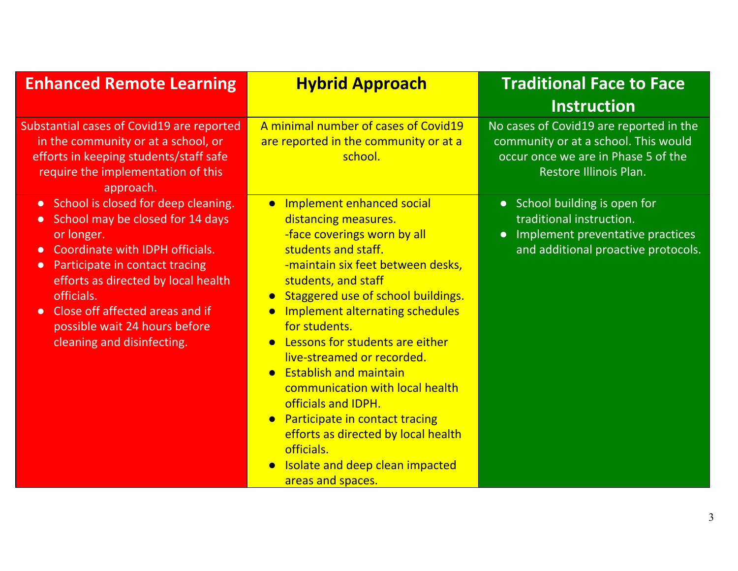| <b>Enhanced Remote Learning</b>                                                                                                                                                                                                                                                                                                                                         | <b>Hybrid Approach</b>                                                                                                                                                                                                                                                                                                                                                                                                                                                                                                                                                                                                  | <b>Traditional Face to Face</b><br><b>Instruction</b>                                                                                             |
|-------------------------------------------------------------------------------------------------------------------------------------------------------------------------------------------------------------------------------------------------------------------------------------------------------------------------------------------------------------------------|-------------------------------------------------------------------------------------------------------------------------------------------------------------------------------------------------------------------------------------------------------------------------------------------------------------------------------------------------------------------------------------------------------------------------------------------------------------------------------------------------------------------------------------------------------------------------------------------------------------------------|---------------------------------------------------------------------------------------------------------------------------------------------------|
| Substantial cases of Covid19 are reported<br>in the community or at a school, or<br>efforts in keeping students/staff safe<br>require the implementation of this<br>approach.                                                                                                                                                                                           | A minimal number of cases of Covid19<br>are reported in the community or at a<br>school.                                                                                                                                                                                                                                                                                                                                                                                                                                                                                                                                | No cases of Covid19 are reported in the<br>community or at a school. This would<br>occur once we are in Phase 5 of the<br>Restore Illinois Plan.  |
| • School is closed for deep cleaning.<br>School may be closed for 14 days<br>$\bullet$<br>or longer.<br>Coordinate with IDPH officials.<br>$\bullet$<br>Participate in contact tracing<br>$\bullet$<br>efforts as directed by local health<br>officials.<br>Close off affected areas and if<br>$\bullet$<br>possible wait 24 hours before<br>cleaning and disinfecting. | • Implement enhanced social<br>distancing measures.<br>-face coverings worn by all<br>students and staff.<br>-maintain six feet between desks,<br>students, and staff<br>Staggered use of school buildings.<br>$\bullet$<br>Implement alternating schedules<br>$\bullet$<br>for students.<br>• Lessons for students are either<br>live-streamed or recorded.<br>• Establish and maintain<br>communication with local health<br>officials and IDPH.<br><b>Participate in contact tracing</b><br>$\bullet$<br>efforts as directed by local health<br>officials.<br>• Isolate and deep clean impacted<br>areas and spaces. | • School building is open for<br>traditional instruction.<br>Implement preventative practices<br>$\bullet$<br>and additional proactive protocols. |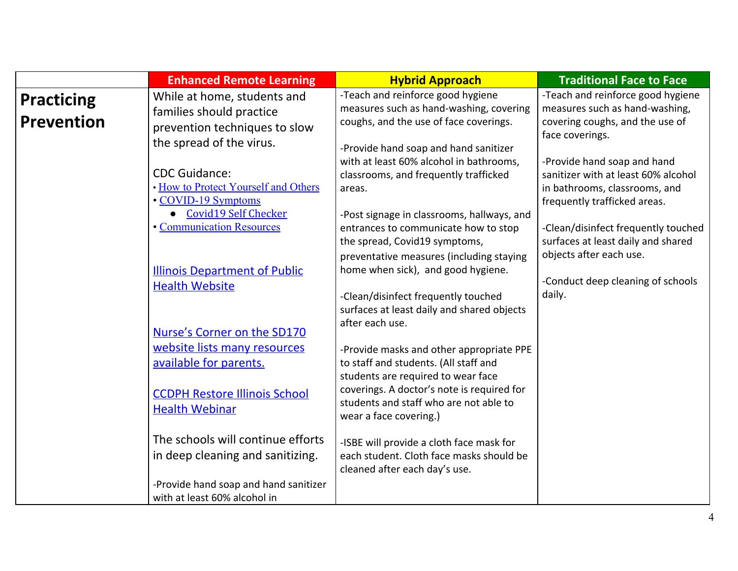|                                        | <b>Enhanced Remote Learning</b>                                                                                                                | <b>Hybrid Approach</b>                                                                                                                                                                                                                    | <b>Traditional Face to Face</b>                                                                                                     |
|----------------------------------------|------------------------------------------------------------------------------------------------------------------------------------------------|-------------------------------------------------------------------------------------------------------------------------------------------------------------------------------------------------------------------------------------------|-------------------------------------------------------------------------------------------------------------------------------------|
| <b>Practicing</b><br><b>Prevention</b> | While at home, students and<br>families should practice<br>prevention techniques to slow                                                       | -Teach and reinforce good hygiene<br>measures such as hand-washing, covering<br>coughs, and the use of face coverings.                                                                                                                    | -Teach and reinforce good hygiene<br>measures such as hand-washing,<br>covering coughs, and the use of<br>face coverings.           |
|                                        | the spread of the virus.<br><b>CDC Guidance:</b><br>. How to Protect Yourself and Others<br>• COVID-19 Symptoms<br><b>Covid19 Self Checker</b> | -Provide hand soap and hand sanitizer<br>with at least 60% alcohol in bathrooms,<br>classrooms, and frequently trafficked<br>areas.                                                                                                       | -Provide hand soap and hand<br>sanitizer with at least 60% alcohol<br>in bathrooms, classrooms, and<br>frequently trafficked areas. |
|                                        | <b>• Communication Resources</b>                                                                                                               | -Post signage in classrooms, hallways, and<br>entrances to communicate how to stop<br>the spread, Covid19 symptoms,<br>preventative measures (including staying                                                                           | -Clean/disinfect frequently touched<br>surfaces at least daily and shared<br>objects after each use.                                |
|                                        | <b>Illinois Department of Public</b><br><b>Health Website</b><br>Nurse's Corner on the SD170                                                   | home when sick), and good hygiene.<br>-Clean/disinfect frequently touched<br>surfaces at least daily and shared objects<br>after each use.                                                                                                | -Conduct deep cleaning of schools<br>daily.                                                                                         |
|                                        | website lists many resources<br>available for parents.<br><b>CCDPH Restore Illinois School</b><br><b>Health Webinar</b>                        | -Provide masks and other appropriate PPE<br>to staff and students. (All staff and<br>students are required to wear face<br>coverings. A doctor's note is required for<br>students and staff who are not able to<br>wear a face covering.) |                                                                                                                                     |
|                                        | The schools will continue efforts<br>in deep cleaning and sanitizing.<br>-Provide hand soap and hand sanitizer<br>with at least 60% alcohol in | -ISBE will provide a cloth face mask for<br>each student. Cloth face masks should be<br>cleaned after each day's use.                                                                                                                     |                                                                                                                                     |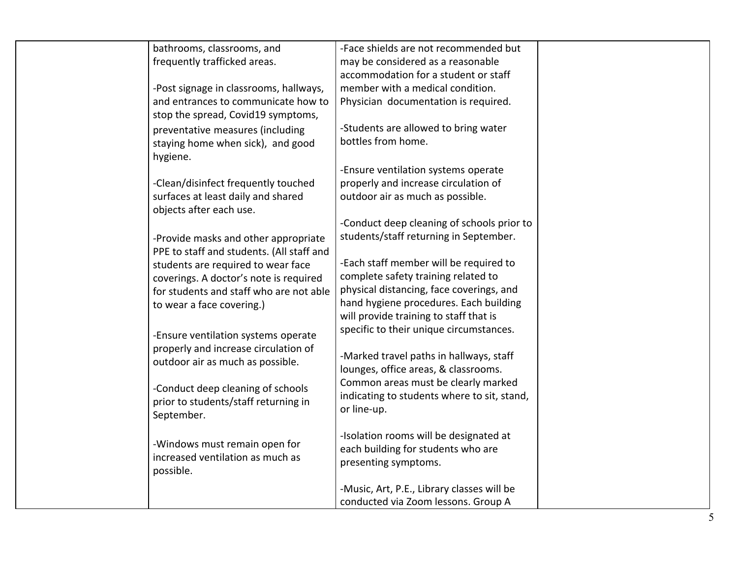| bathrooms, classrooms, and                | -Face shields are not recommended but       |  |
|-------------------------------------------|---------------------------------------------|--|
| frequently trafficked areas.              | may be considered as a reasonable           |  |
|                                           | accommodation for a student or staff        |  |
| -Post signage in classrooms, hallways,    | member with a medical condition.            |  |
| and entrances to communicate how to       | Physician documentation is required.        |  |
| stop the spread, Covid19 symptoms,        |                                             |  |
| preventative measures (including          | -Students are allowed to bring water        |  |
| staying home when sick), and good         | bottles from home.                          |  |
| hygiene.                                  |                                             |  |
|                                           | -Ensure ventilation systems operate         |  |
| -Clean/disinfect frequently touched       | properly and increase circulation of        |  |
| surfaces at least daily and shared        | outdoor air as much as possible.            |  |
| objects after each use.                   |                                             |  |
|                                           | -Conduct deep cleaning of schools prior to  |  |
| -Provide masks and other appropriate      | students/staff returning in September.      |  |
| PPE to staff and students. (All staff and |                                             |  |
| students are required to wear face        | -Each staff member will be required to      |  |
| coverings. A doctor's note is required    | complete safety training related to         |  |
| for students and staff who are not able   | physical distancing, face coverings, and    |  |
| to wear a face covering.)                 | hand hygiene procedures. Each building      |  |
|                                           | will provide training to staff that is      |  |
| -Ensure ventilation systems operate       | specific to their unique circumstances.     |  |
| properly and increase circulation of      |                                             |  |
| outdoor air as much as possible.          | -Marked travel paths in hallways, staff     |  |
|                                           | lounges, office areas, & classrooms.        |  |
| -Conduct deep cleaning of schools         | Common areas must be clearly marked         |  |
| prior to students/staff returning in      | indicating to students where to sit, stand, |  |
| September.                                | or line-up.                                 |  |
|                                           |                                             |  |
| -Windows must remain open for             | -Isolation rooms will be designated at      |  |
| increased ventilation as much as          | each building for students who are          |  |
| possible.                                 | presenting symptoms.                        |  |
|                                           |                                             |  |
|                                           | -Music, Art, P.E., Library classes will be  |  |
|                                           | conducted via Zoom lessons. Group A         |  |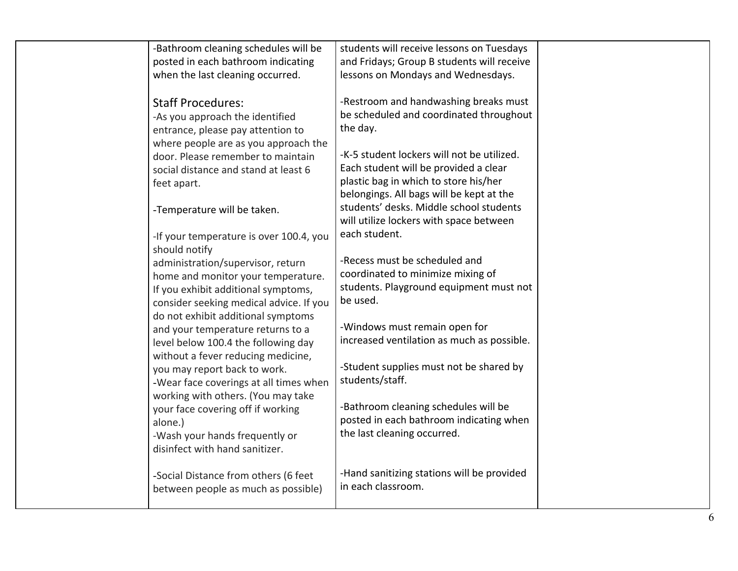| -Bathroom cleaning schedules will be    | students will receive lessons on Tuesdays  |  |
|-----------------------------------------|--------------------------------------------|--|
| posted in each bathroom indicating      | and Fridays; Group B students will receive |  |
| when the last cleaning occurred.        | lessons on Mondays and Wednesdays.         |  |
| <b>Staff Procedures:</b>                | -Restroom and handwashing breaks must      |  |
| -As you approach the identified         | be scheduled and coordinated throughout    |  |
|                                         | the day.                                   |  |
| entrance, please pay attention to       |                                            |  |
| where people are as you approach the    | -K-5 student lockers will not be utilized. |  |
| door. Please remember to maintain       | Each student will be provided a clear      |  |
| social distance and stand at least 6    | plastic bag in which to store his/her      |  |
| feet apart.                             | belongings. All bags will be kept at the   |  |
|                                         | students' desks. Middle school students    |  |
| -Temperature will be taken.             |                                            |  |
|                                         | will utilize lockers with space between    |  |
| -If your temperature is over 100.4, you | each student.                              |  |
| should notify                           |                                            |  |
| administration/supervisor, return       | -Recess must be scheduled and              |  |
| home and monitor your temperature.      | coordinated to minimize mixing of          |  |
| If you exhibit additional symptoms,     | students. Playground equipment must not    |  |
| consider seeking medical advice. If you | be used.                                   |  |
| do not exhibit additional symptoms      |                                            |  |
| and your temperature returns to a       | -Windows must remain open for              |  |
| level below 100.4 the following day     | increased ventilation as much as possible. |  |
| without a fever reducing medicine,      |                                            |  |
| you may report back to work.            | -Student supplies must not be shared by    |  |
| -Wear face coverings at all times when  | students/staff.                            |  |
| working with others. (You may take      |                                            |  |
| your face covering off if working       | -Bathroom cleaning schedules will be       |  |
| alone.)                                 | posted in each bathroom indicating when    |  |
| -Wash your hands frequently or          | the last cleaning occurred.                |  |
| disinfect with hand sanitizer.          |                                            |  |
|                                         |                                            |  |
| -Social Distance from others (6 feet    | -Hand sanitizing stations will be provided |  |
| between people as much as possible)     | in each classroom.                         |  |
|                                         |                                            |  |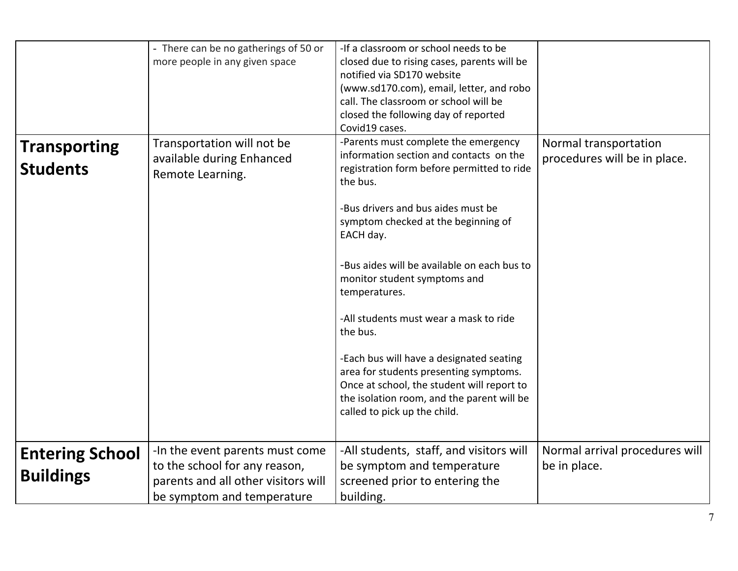|                                            | - There can be no gatherings of 50 or<br>more people in any given space                                                               | -If a classroom or school needs to be<br>closed due to rising cases, parents will be<br>notified via SD170 website<br>(www.sd170.com), email, letter, and robo<br>call. The classroom or school will be<br>closed the following day of reported<br>Covid19 cases.                                                                                                                                                                                                                                                                                                                                           |                                                       |
|--------------------------------------------|---------------------------------------------------------------------------------------------------------------------------------------|-------------------------------------------------------------------------------------------------------------------------------------------------------------------------------------------------------------------------------------------------------------------------------------------------------------------------------------------------------------------------------------------------------------------------------------------------------------------------------------------------------------------------------------------------------------------------------------------------------------|-------------------------------------------------------|
| <b>Transporting</b><br><b>Students</b>     | Transportation will not be<br>available during Enhanced<br>Remote Learning.                                                           | -Parents must complete the emergency<br>information section and contacts on the<br>registration form before permitted to ride<br>the bus.<br>-Bus drivers and bus aides must be<br>symptom checked at the beginning of<br>EACH day.<br>-Bus aides will be available on each bus to<br>monitor student symptoms and<br>temperatures.<br>-All students must wear a mask to ride<br>the bus.<br>-Each bus will have a designated seating<br>area for students presenting symptoms.<br>Once at school, the student will report to<br>the isolation room, and the parent will be<br>called to pick up the child. | Normal transportation<br>procedures will be in place. |
| <b>Entering School</b><br><b>Buildings</b> | -In the event parents must come<br>to the school for any reason,<br>parents and all other visitors will<br>be symptom and temperature | -All students, staff, and visitors will<br>be symptom and temperature<br>screened prior to entering the<br>building.                                                                                                                                                                                                                                                                                                                                                                                                                                                                                        | Normal arrival procedures will<br>be in place.        |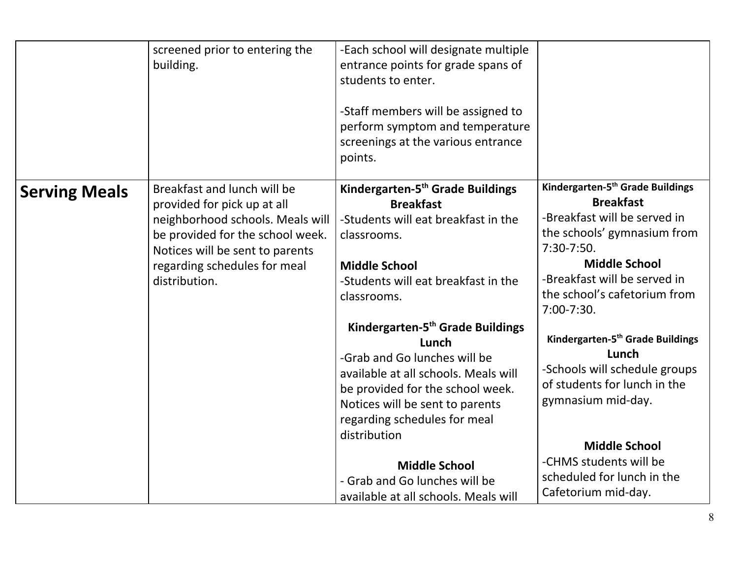|                      | screened prior to entering the<br>building.                                                                                                                                                                            | -Each school will designate multiple<br>entrance points for grade spans of<br>students to enter.<br>-Staff members will be assigned to<br>perform symptom and temperature<br>screenings at the various entrance<br>points.                                                                                                                            |                                                                                                                                                                                                                                                     |
|----------------------|------------------------------------------------------------------------------------------------------------------------------------------------------------------------------------------------------------------------|-------------------------------------------------------------------------------------------------------------------------------------------------------------------------------------------------------------------------------------------------------------------------------------------------------------------------------------------------------|-----------------------------------------------------------------------------------------------------------------------------------------------------------------------------------------------------------------------------------------------------|
| <b>Serving Meals</b> | Breakfast and lunch will be<br>provided for pick up at all<br>neighborhood schools. Meals will<br>be provided for the school week.<br>Notices will be sent to parents<br>regarding schedules for meal<br>distribution. | Kindergarten-5 <sup>th</sup> Grade Buildings<br><b>Breakfast</b><br>-Students will eat breakfast in the<br>classrooms.<br><b>Middle School</b><br>-Students will eat breakfast in the<br>classrooms.                                                                                                                                                  | Kindergarten-5th Grade Buildings<br><b>Breakfast</b><br>-Breakfast will be served in<br>the schools' gymnasium from<br>7:30-7:50.<br><b>Middle School</b><br>-Breakfast will be served in<br>the school's cafetorium from<br>$7:00-7:30.$           |
|                      |                                                                                                                                                                                                                        | Kindergarten-5 <sup>th</sup> Grade Buildings<br>Lunch<br>-Grab and Go lunches will be<br>available at all schools. Meals will<br>be provided for the school week.<br>Notices will be sent to parents<br>regarding schedules for meal<br>distribution<br><b>Middle School</b><br>- Grab and Go lunches will be<br>available at all schools. Meals will | Kindergarten-5 <sup>th</sup> Grade Buildings<br>Lunch<br>-Schools will schedule groups<br>of students for lunch in the<br>gymnasium mid-day.<br><b>Middle School</b><br>-CHMS students will be<br>scheduled for lunch in the<br>Cafetorium mid-day. |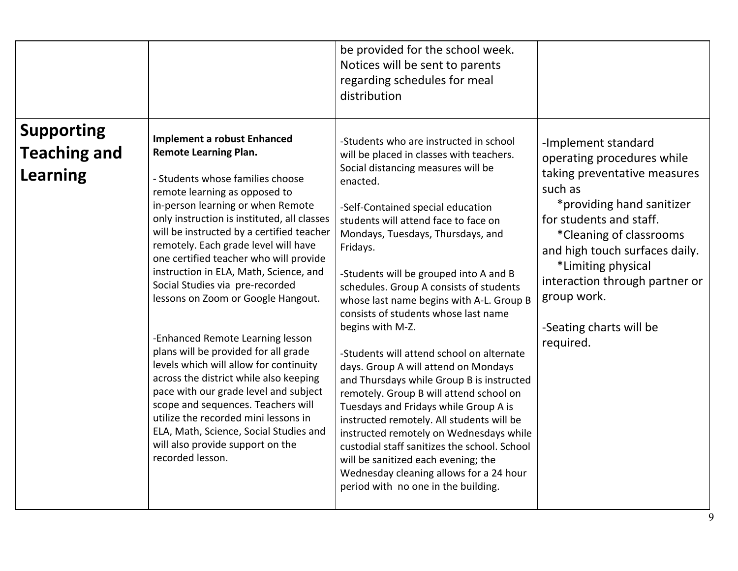|                                                             |                                                                                                                                                                                                                                                                                                                                                                                                                                                                                                                                                                                                                                                                                                                                                                                                                                                                        | be provided for the school week.<br>Notices will be sent to parents<br>regarding schedules for meal<br>distribution                                                                                                                                                                                                                                                                                                                                                                                                                                                                                                                                                                                                                                                                                                                                                                                                                                    |                                                                                                                                                                                                                                                                                                                                  |
|-------------------------------------------------------------|------------------------------------------------------------------------------------------------------------------------------------------------------------------------------------------------------------------------------------------------------------------------------------------------------------------------------------------------------------------------------------------------------------------------------------------------------------------------------------------------------------------------------------------------------------------------------------------------------------------------------------------------------------------------------------------------------------------------------------------------------------------------------------------------------------------------------------------------------------------------|--------------------------------------------------------------------------------------------------------------------------------------------------------------------------------------------------------------------------------------------------------------------------------------------------------------------------------------------------------------------------------------------------------------------------------------------------------------------------------------------------------------------------------------------------------------------------------------------------------------------------------------------------------------------------------------------------------------------------------------------------------------------------------------------------------------------------------------------------------------------------------------------------------------------------------------------------------|----------------------------------------------------------------------------------------------------------------------------------------------------------------------------------------------------------------------------------------------------------------------------------------------------------------------------------|
| <b>Supporting</b><br><b>Teaching and</b><br><b>Learning</b> | <b>Implement a robust Enhanced</b><br><b>Remote Learning Plan.</b><br>- Students whose families choose<br>remote learning as opposed to<br>in-person learning or when Remote<br>only instruction is instituted, all classes<br>will be instructed by a certified teacher<br>remotely. Each grade level will have<br>one certified teacher who will provide<br>instruction in ELA, Math, Science, and<br>Social Studies via pre-recorded<br>lessons on Zoom or Google Hangout.<br>-Enhanced Remote Learning lesson<br>plans will be provided for all grade<br>levels which will allow for continuity<br>across the district while also keeping<br>pace with our grade level and subject<br>scope and sequences. Teachers will<br>utilize the recorded mini lessons in<br>ELA, Math, Science, Social Studies and<br>will also provide support on the<br>recorded lesson. | -Students who are instructed in school<br>will be placed in classes with teachers.<br>Social distancing measures will be<br>enacted.<br>-Self-Contained special education<br>students will attend face to face on<br>Mondays, Tuesdays, Thursdays, and<br>Fridays.<br>-Students will be grouped into A and B<br>schedules. Group A consists of students<br>whose last name begins with A-L. Group B<br>consists of students whose last name<br>begins with M-Z.<br>-Students will attend school on alternate<br>days. Group A will attend on Mondays<br>and Thursdays while Group B is instructed<br>remotely. Group B will attend school on<br>Tuesdays and Fridays while Group A is<br>instructed remotely. All students will be<br>instructed remotely on Wednesdays while<br>custodial staff sanitizes the school. School<br>will be sanitized each evening; the<br>Wednesday cleaning allows for a 24 hour<br>period with no one in the building. | -Implement standard<br>operating procedures while<br>taking preventative measures<br>such as<br>*providing hand sanitizer<br>for students and staff.<br>*Cleaning of classrooms<br>and high touch surfaces daily.<br>*Limiting physical<br>interaction through partner or<br>group work.<br>-Seating charts will be<br>required. |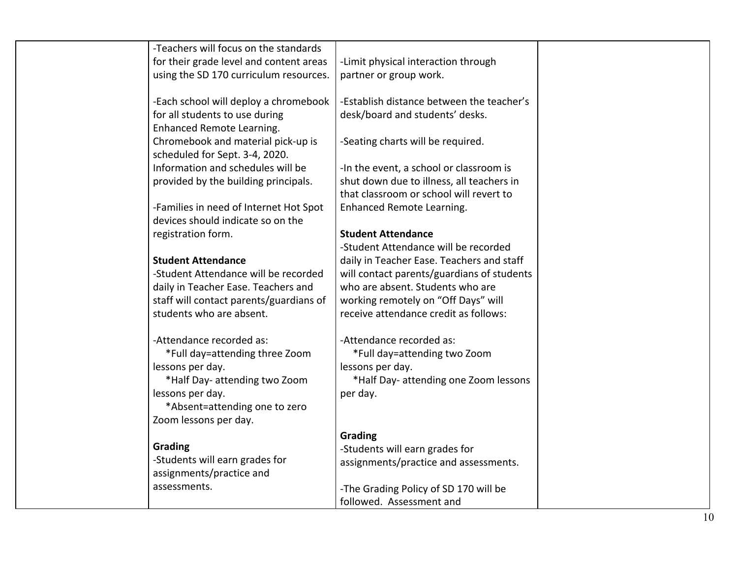| -Teachers will focus on the standards<br>for their grade level and content areas<br>using the SD 170 curriculum resources. | -Limit physical interaction through<br>partner or group work.                |  |
|----------------------------------------------------------------------------------------------------------------------------|------------------------------------------------------------------------------|--|
| -Each school will deploy a chromebook<br>for all students to use during                                                    | -Establish distance between the teacher's<br>desk/board and students' desks. |  |
| Enhanced Remote Learning.<br>Chromebook and material pick-up is                                                            | -Seating charts will be required.                                            |  |
| scheduled for Sept. 3-4, 2020.                                                                                             |                                                                              |  |
| Information and schedules will be                                                                                          | -In the event, a school or classroom is                                      |  |
| provided by the building principals.                                                                                       | shut down due to illness, all teachers in                                    |  |
|                                                                                                                            | that classroom or school will revert to<br>Enhanced Remote Learning.         |  |
| -Families in need of Internet Hot Spot<br>devices should indicate so on the                                                |                                                                              |  |
| registration form.                                                                                                         | <b>Student Attendance</b>                                                    |  |
|                                                                                                                            | -Student Attendance will be recorded                                         |  |
| <b>Student Attendance</b>                                                                                                  | daily in Teacher Ease. Teachers and staff                                    |  |
| -Student Attendance will be recorded                                                                                       | will contact parents/guardians of students                                   |  |
| daily in Teacher Ease. Teachers and                                                                                        | who are absent. Students who are                                             |  |
| staff will contact parents/guardians of                                                                                    | working remotely on "Off Days" will                                          |  |
| students who are absent.                                                                                                   | receive attendance credit as follows:                                        |  |
| -Attendance recorded as:                                                                                                   | -Attendance recorded as:                                                     |  |
| *Full day=attending three Zoom                                                                                             | *Full day=attending two Zoom                                                 |  |
| lessons per day.                                                                                                           | lessons per day.                                                             |  |
| *Half Day- attending two Zoom                                                                                              | *Half Day- attending one Zoom lessons                                        |  |
| lessons per day.<br>*Absent=attending one to zero                                                                          | per day.                                                                     |  |
| Zoom lessons per day.                                                                                                      |                                                                              |  |
|                                                                                                                            | Grading                                                                      |  |
| Grading                                                                                                                    | -Students will earn grades for                                               |  |
| -Students will earn grades for                                                                                             | assignments/practice and assessments.                                        |  |
| assignments/practice and                                                                                                   |                                                                              |  |
| assessments.                                                                                                               | -The Grading Policy of SD 170 will be                                        |  |
|                                                                                                                            | followed. Assessment and                                                     |  |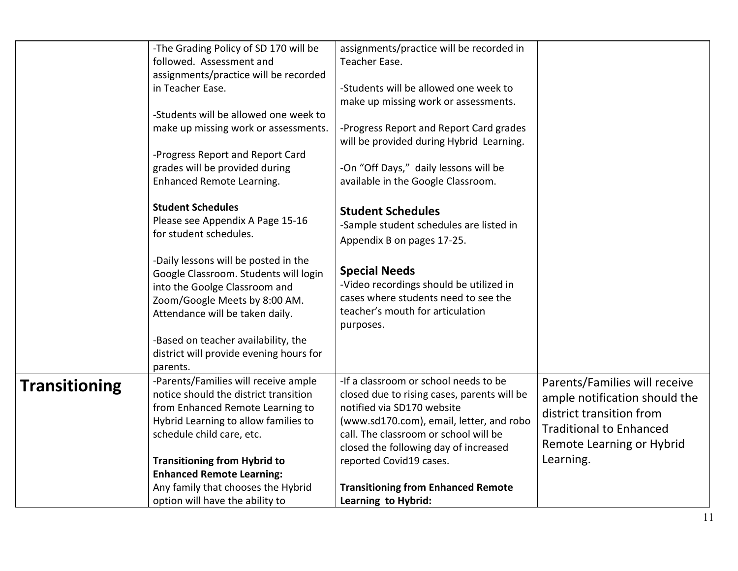|                      | -The Grading Policy of SD 170 will be<br>followed. Assessment and<br>assignments/practice will be recorded<br>in Teacher Ease.<br>-Students will be allowed one week to<br>make up missing work or assessments.<br>-Progress Report and Report Card<br>grades will be provided during<br>Enhanced Remote Learning.<br><b>Student Schedules</b><br>Please see Appendix A Page 15-16<br>for student schedules. | assignments/practice will be recorded in<br>Teacher Ease.<br>-Students will be allowed one week to<br>make up missing work or assessments.<br>-Progress Report and Report Card grades<br>will be provided during Hybrid Learning.<br>-On "Off Days," daily lessons will be<br>available in the Google Classroom.<br><b>Student Schedules</b><br>-Sample student schedules are listed in |                                                                                                                                                                        |
|----------------------|--------------------------------------------------------------------------------------------------------------------------------------------------------------------------------------------------------------------------------------------------------------------------------------------------------------------------------------------------------------------------------------------------------------|-----------------------------------------------------------------------------------------------------------------------------------------------------------------------------------------------------------------------------------------------------------------------------------------------------------------------------------------------------------------------------------------|------------------------------------------------------------------------------------------------------------------------------------------------------------------------|
|                      | -Daily lessons will be posted in the<br>Google Classroom. Students will login<br>into the Goolge Classroom and<br>Zoom/Google Meets by 8:00 AM.<br>Attendance will be taken daily.<br>-Based on teacher availability, the<br>district will provide evening hours for<br>parents.                                                                                                                             | Appendix B on pages 17-25.<br><b>Special Needs</b><br>-Video recordings should be utilized in<br>cases where students need to see the<br>teacher's mouth for articulation<br>purposes.                                                                                                                                                                                                  |                                                                                                                                                                        |
| <b>Transitioning</b> | -Parents/Families will receive ample<br>notice should the district transition<br>from Enhanced Remote Learning to<br>Hybrid Learning to allow families to<br>schedule child care, etc.<br><b>Transitioning from Hybrid to</b><br><b>Enhanced Remote Learning:</b><br>Any family that chooses the Hybrid<br>option will have the ability to                                                                   | -If a classroom or school needs to be<br>closed due to rising cases, parents will be<br>notified via SD170 website<br>(www.sd170.com), email, letter, and robo<br>call. The classroom or school will be<br>closed the following day of increased<br>reported Covid19 cases.<br><b>Transitioning from Enhanced Remote</b><br>Learning to Hybrid:                                         | Parents/Families will receive<br>ample notification should the<br>district transition from<br><b>Traditional to Enhanced</b><br>Remote Learning or Hybrid<br>Learning. |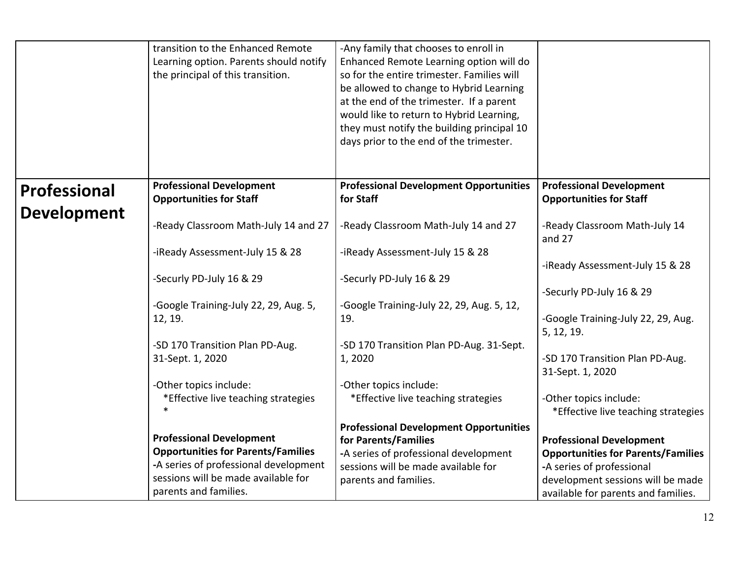|                     | transition to the Enhanced Remote<br>Learning option. Parents should notify<br>the principal of this transition. | -Any family that chooses to enroll in<br>Enhanced Remote Learning option will do<br>so for the entire trimester. Families will<br>be allowed to change to Hybrid Learning<br>at the end of the trimester. If a parent<br>would like to return to Hybrid Learning,<br>they must notify the building principal 10<br>days prior to the end of the trimester. |                                                                              |
|---------------------|------------------------------------------------------------------------------------------------------------------|------------------------------------------------------------------------------------------------------------------------------------------------------------------------------------------------------------------------------------------------------------------------------------------------------------------------------------------------------------|------------------------------------------------------------------------------|
| <b>Professional</b> | <b>Professional Development</b><br><b>Opportunities for Staff</b>                                                | <b>Professional Development Opportunities</b><br>for Staff                                                                                                                                                                                                                                                                                                 | <b>Professional Development</b><br><b>Opportunities for Staff</b>            |
| <b>Development</b>  | -Ready Classroom Math-July 14 and 27                                                                             | -Ready Classroom Math-July 14 and 27                                                                                                                                                                                                                                                                                                                       | -Ready Classroom Math-July 14<br>and $27$                                    |
|                     | -iReady Assessment-July 15 & 28                                                                                  | -iReady Assessment-July 15 & 28                                                                                                                                                                                                                                                                                                                            | -iReady Assessment-July 15 & 28                                              |
|                     | -Securly PD-July 16 & 29                                                                                         | -Securly PD-July 16 & 29                                                                                                                                                                                                                                                                                                                                   | -Securly PD-July 16 & 29                                                     |
|                     | -Google Training-July 22, 29, Aug. 5,<br>12, 19.                                                                 | -Google Training-July 22, 29, Aug. 5, 12,<br>19.                                                                                                                                                                                                                                                                                                           | -Google Training-July 22, 29, Aug.<br>5, 12, 19.                             |
|                     | -SD 170 Transition Plan PD-Aug.<br>31-Sept. 1, 2020                                                              | -SD 170 Transition Plan PD-Aug. 31-Sept.<br>1,2020                                                                                                                                                                                                                                                                                                         | -SD 170 Transition Plan PD-Aug.<br>31-Sept. 1, 2020                          |
|                     | -Other topics include:<br>*Effective live teaching strategies                                                    | -Other topics include:<br>*Effective live teaching strategies                                                                                                                                                                                                                                                                                              | -Other topics include:<br>*Effective live teaching strategies                |
|                     | <b>Professional Development</b>                                                                                  | <b>Professional Development Opportunities</b>                                                                                                                                                                                                                                                                                                              |                                                                              |
|                     | <b>Opportunities for Parents/Families</b>                                                                        | for Parents/Families<br>-A series of professional development                                                                                                                                                                                                                                                                                              | <b>Professional Development</b><br><b>Opportunities for Parents/Families</b> |
|                     | -A series of professional development                                                                            | sessions will be made available for                                                                                                                                                                                                                                                                                                                        | -A series of professional                                                    |
|                     | sessions will be made available for                                                                              | parents and families.                                                                                                                                                                                                                                                                                                                                      | development sessions will be made                                            |
|                     | parents and families.                                                                                            |                                                                                                                                                                                                                                                                                                                                                            | available for parents and families.                                          |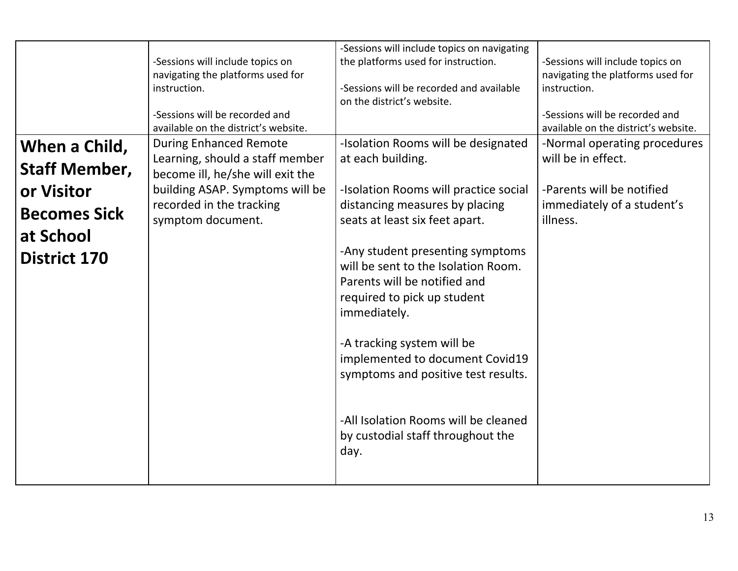|                                                                                                                | -Sessions will include topics on<br>navigating the platforms used for<br>instruction.<br>-Sessions will be recorded and<br>available on the district's website.                          | -Sessions will include topics on navigating<br>the platforms used for instruction.<br>-Sessions will be recorded and available<br>on the district's website.                                                                                                                                                                                                                                                                                                                                                         | -Sessions will include topics on<br>navigating the platforms used for<br>instruction.<br>-Sessions will be recorded and<br>available on the district's website. |
|----------------------------------------------------------------------------------------------------------------|------------------------------------------------------------------------------------------------------------------------------------------------------------------------------------------|----------------------------------------------------------------------------------------------------------------------------------------------------------------------------------------------------------------------------------------------------------------------------------------------------------------------------------------------------------------------------------------------------------------------------------------------------------------------------------------------------------------------|-----------------------------------------------------------------------------------------------------------------------------------------------------------------|
| When a Child,<br><b>Staff Member,</b><br>or Visitor<br><b>Becomes Sick</b><br>at School<br><b>District 170</b> | <b>During Enhanced Remote</b><br>Learning, should a staff member<br>become ill, he/she will exit the<br>building ASAP. Symptoms will be<br>recorded in the tracking<br>symptom document. | -Isolation Rooms will be designated<br>at each building.<br>-Isolation Rooms will practice social<br>distancing measures by placing<br>seats at least six feet apart.<br>-Any student presenting symptoms<br>will be sent to the Isolation Room.<br>Parents will be notified and<br>required to pick up student<br>immediately.<br>-A tracking system will be<br>implemented to document Covid19<br>symptoms and positive test results.<br>-All Isolation Rooms will be cleaned<br>by custodial staff throughout the | -Normal operating procedures<br>will be in effect.<br>-Parents will be notified<br>immediately of a student's<br>illness.                                       |
|                                                                                                                |                                                                                                                                                                                          | day.                                                                                                                                                                                                                                                                                                                                                                                                                                                                                                                 |                                                                                                                                                                 |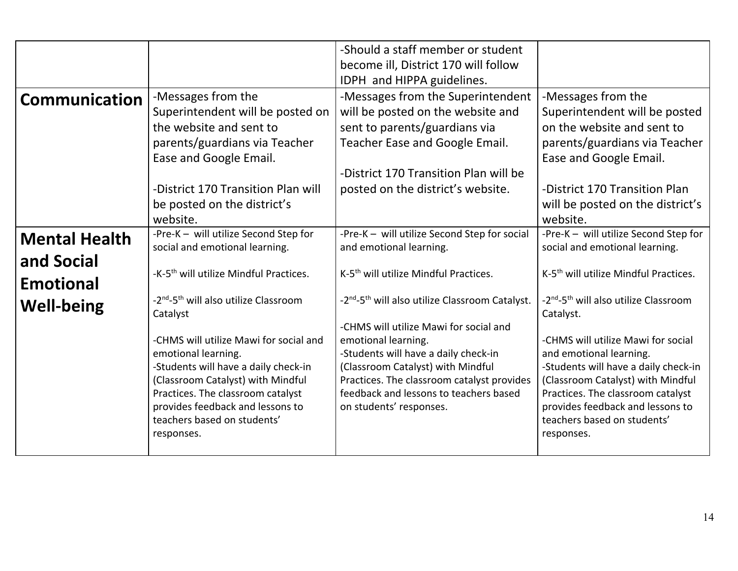|                      |                                                                           | -Should a staff member or student                                               |                                                                           |
|----------------------|---------------------------------------------------------------------------|---------------------------------------------------------------------------------|---------------------------------------------------------------------------|
|                      |                                                                           | become ill, District 170 will follow                                            |                                                                           |
|                      |                                                                           | IDPH and HIPPA guidelines.                                                      |                                                                           |
| <b>Communication</b> | -Messages from the                                                        | -Messages from the Superintendent                                               | -Messages from the                                                        |
|                      | Superintendent will be posted on                                          | will be posted on the website and                                               | Superintendent will be posted                                             |
|                      | the website and sent to                                                   | sent to parents/guardians via                                                   | on the website and sent to                                                |
|                      | parents/guardians via Teacher                                             | Teacher Ease and Google Email.                                                  | parents/guardians via Teacher                                             |
|                      | Ease and Google Email.                                                    |                                                                                 | Ease and Google Email.                                                    |
|                      |                                                                           | -District 170 Transition Plan will be                                           |                                                                           |
|                      | -District 170 Transition Plan will                                        | posted on the district's website.                                               | -District 170 Transition Plan                                             |
|                      | be posted on the district's                                               |                                                                                 | will be posted on the district's                                          |
|                      | website.                                                                  |                                                                                 | website.                                                                  |
| <b>Mental Health</b> | -Pre-K - will utilize Second Step for                                     | -Pre-K - will utilize Second Step for social                                    | -Pre-K - will utilize Second Step for                                     |
|                      | social and emotional learning.                                            | and emotional learning.                                                         | social and emotional learning.                                            |
| and Social           |                                                                           |                                                                                 |                                                                           |
| <b>Emotional</b>     | -K-5 <sup>th</sup> will utilize Mindful Practices.                        | K-5 <sup>th</sup> will utilize Mindful Practices.                               | K-5 <sup>th</sup> will utilize Mindful Practices.                         |
| <b>Well-being</b>    | -2 <sup>nd</sup> -5 <sup>th</sup> will also utilize Classroom             | -2 <sup>nd</sup> -5 <sup>th</sup> will also utilize Classroom Catalyst.         | -2 <sup>nd</sup> -5 <sup>th</sup> will also utilize Classroom             |
|                      | Catalyst                                                                  |                                                                                 | Catalyst.                                                                 |
|                      |                                                                           | -CHMS will utilize Mawi for social and                                          |                                                                           |
|                      | -CHMS will utilize Mawi for social and                                    | emotional learning.                                                             | -CHMS will utilize Mawi for social                                        |
|                      | emotional learning.                                                       | -Students will have a daily check-in                                            | and emotional learning.                                                   |
|                      | -Students will have a daily check-in<br>(Classroom Catalyst) with Mindful | (Classroom Catalyst) with Mindful<br>Practices. The classroom catalyst provides | -Students will have a daily check-in<br>(Classroom Catalyst) with Mindful |
|                      | Practices. The classroom catalyst                                         | feedback and lessons to teachers based                                          | Practices. The classroom catalyst                                         |
|                      | provides feedback and lessons to                                          | on students' responses.                                                         | provides feedback and lessons to                                          |
|                      | teachers based on students'                                               |                                                                                 | teachers based on students'                                               |
|                      | responses.                                                                |                                                                                 | responses.                                                                |
|                      |                                                                           |                                                                                 |                                                                           |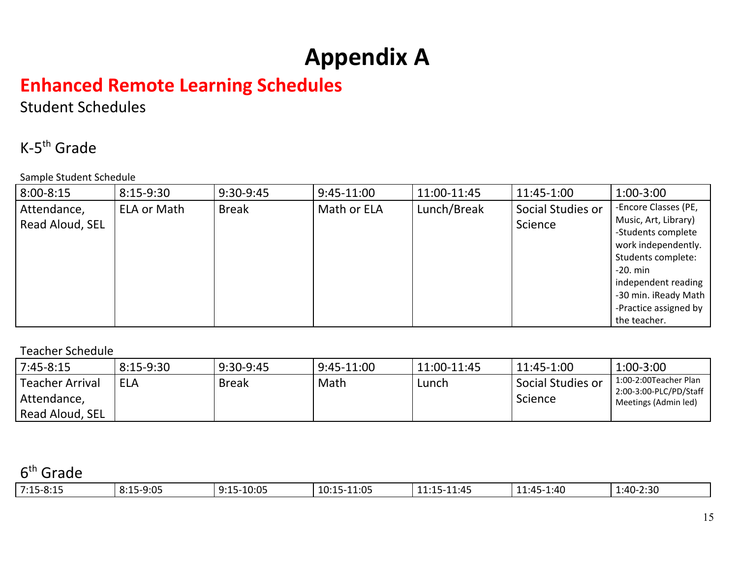# **Appendix A**

# **Enhanced Remote Learning Schedules**

Student Schedules

### K-5th Grade

Sample Student Schedule

| $8:00 - 8:15$                  | $8:15-9:30$ | 9:30-9:45    | $9:45-11:00$ | 11:00-11:45 | 11:45-1:00                   | $1:00-3:00$                                                                                                                                                                                                           |
|--------------------------------|-------------|--------------|--------------|-------------|------------------------------|-----------------------------------------------------------------------------------------------------------------------------------------------------------------------------------------------------------------------|
| Attendance,<br>Read Aloud, SEL | ELA or Math | <b>Break</b> | Math or ELA  | Lunch/Break | Social Studies or<br>Science | -Encore Classes (PE,<br>Music, Art, Library)<br>-Students complete<br>work independently.<br>Students complete:<br>$-20.$ min<br>independent reading<br>-30 min. iReady Math<br>-Practice assigned by<br>the teacher. |

#### Teacher Schedule

| $7:45-8:15$            | $8:15-9:30$ | 9:30-9:45    | $9:45-11:00$ | 11:00-11:45 | 11:45-1:00        | $1:00 - 3:00$                                   |
|------------------------|-------------|--------------|--------------|-------------|-------------------|-------------------------------------------------|
| <b>Teacher Arrival</b> | <b>ELA</b>  | <b>Break</b> | Math         | Lunch       | Social Studies or | 1:00-2:00Teacher Plan<br>2:00-3:00-PLC/PD/Staff |
| Attendance,            |             |              |              |             | Science           | Meetings (Admin led)                            |
| Read Aloud, SEL        |             |              |              |             |                   |                                                 |

#### 6<sup>th</sup> Grade

| $7:15 - 8:15$ | $5 - 9:05$<br>$\sim$<br>. O . 1 .<br><u>.</u> | $-10:05$<br>0.1E<br>---- | 11:05<br>٬۱۰٬<br>--<br>.v. . J | $-11:45$<br>1.1 <sub>1</sub><br>----- | 1:40<br>$\sim$<br>ה-רומי<br>ᆂᆂᇽᅮ | 1:40-2:30 |
|---------------|-----------------------------------------------|--------------------------|--------------------------------|---------------------------------------|----------------------------------|-----------|
|---------------|-----------------------------------------------|--------------------------|--------------------------------|---------------------------------------|----------------------------------|-----------|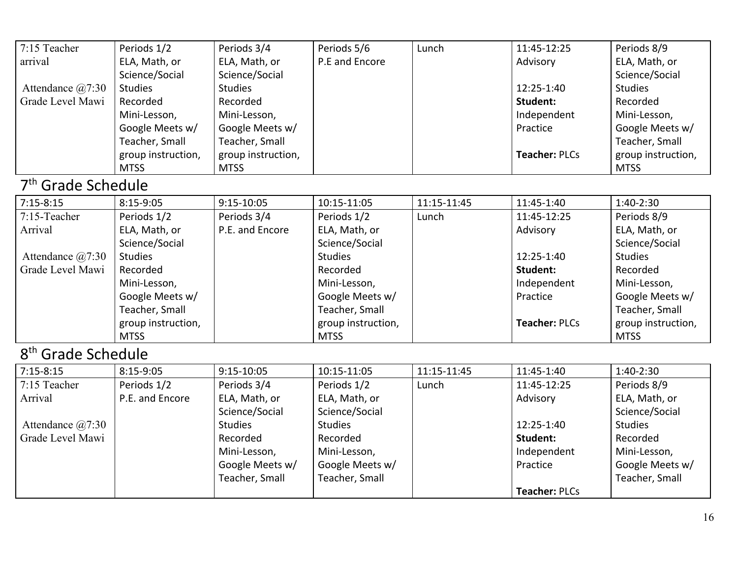| $7:15$ Teacher       | Periods 1/2        | Periods 3/4        | Periods 5/6    | Lunch | 11:45-12:25          | Periods 8/9        |
|----------------------|--------------------|--------------------|----------------|-------|----------------------|--------------------|
| arrival              | ELA, Math, or      | ELA, Math, or      | P.E and Encore |       | Advisory             | ELA, Math, or      |
|                      | Science/Social     | Science/Social     |                |       |                      | Science/Social     |
| Attendance $(a)7:30$ | <b>Studies</b>     | <b>Studies</b>     |                |       | 12:25-1:40           | <b>Studies</b>     |
| Grade Level Mawi     | Recorded           | Recorded           |                |       | Student:             | Recorded           |
|                      | Mini-Lesson,       | Mini-Lesson,       |                |       | Independent          | Mini-Lesson,       |
|                      | Google Meets w/    | Google Meets w/    |                |       | Practice             | Google Meets w/    |
|                      | Teacher, Small     | Teacher, Small     |                |       |                      | Teacher, Small     |
|                      | group instruction, | group instruction, |                |       | <b>Teacher: PLCs</b> | group instruction, |
|                      | <b>MTSS</b>        | <b>MTSS</b>        |                |       |                      | <b>MTSS</b>        |

#### 7<sup>th</sup> Grade Schedule

| $7:15-8:15$          | $8:15-9:05$        | $9:15-10:05$    | 10:15-11:05        | 11:15-11:45 | 11:45-1:40           | $1:40-2:30$        |
|----------------------|--------------------|-----------------|--------------------|-------------|----------------------|--------------------|
| $7:15$ -Teacher      | Periods 1/2        | Periods 3/4     | Periods 1/2        | Lunch       | 11:45-12:25          | Periods 8/9        |
| Arrival              | ELA, Math, or      | P.E. and Encore | ELA, Math, or      |             | Advisory             | ELA, Math, or      |
|                      | Science/Social     |                 | Science/Social     |             |                      | Science/Social     |
| Attendance $(a)7:30$ | <b>Studies</b>     |                 | <b>Studies</b>     |             | 12:25-1:40           | <b>Studies</b>     |
| Grade Level Mawi     | Recorded           |                 | Recorded           |             | Student:             | Recorded           |
|                      | Mini-Lesson,       |                 | Mini-Lesson,       |             | Independent          | Mini-Lesson,       |
|                      | Google Meets w/    |                 | Google Meets w/    |             | Practice             | Google Meets w/    |
|                      | Teacher, Small     |                 | Teacher, Small     |             |                      | Teacher, Small     |
|                      | group instruction, |                 | group instruction, |             | <b>Teacher: PLCs</b> | group instruction, |
|                      | <b>MTSS</b>        |                 | <b>MTSS</b>        |             |                      | <b>MTSS</b>        |

### 8<sup>th</sup> Grade Schedule

| $7:15 - 8:15$            | 8:15-9:05       | 9:15-10:05      | 10:15-11:05     | 11:15-11:45 | 11:45-1:40           | $1:40-2:30$     |
|--------------------------|-----------------|-----------------|-----------------|-------------|----------------------|-----------------|
| 7:15 Teacher             | Periods 1/2     | Periods 3/4     | Periods 1/2     | Lunch       | 11:45-12:25          | Periods 8/9     |
| Arrival                  | P.E. and Encore | ELA, Math, or   | ELA, Math, or   |             | Advisory             | ELA, Math, or   |
|                          |                 | Science/Social  | Science/Social  |             |                      | Science/Social  |
| Attendance $\omega$ 7:30 |                 | <b>Studies</b>  | <b>Studies</b>  |             | 12:25-1:40           | <b>Studies</b>  |
| Grade Level Mawi         |                 | Recorded        | Recorded        |             | Student:             | Recorded        |
|                          |                 | Mini-Lesson,    | Mini-Lesson,    |             | Independent          | Mini-Lesson,    |
|                          |                 | Google Meets w/ | Google Meets w/ |             | Practice             | Google Meets w/ |
|                          |                 | Teacher, Small  | Teacher, Small  |             |                      | Teacher, Small  |
|                          |                 |                 |                 |             | <b>Teacher: PLCs</b> |                 |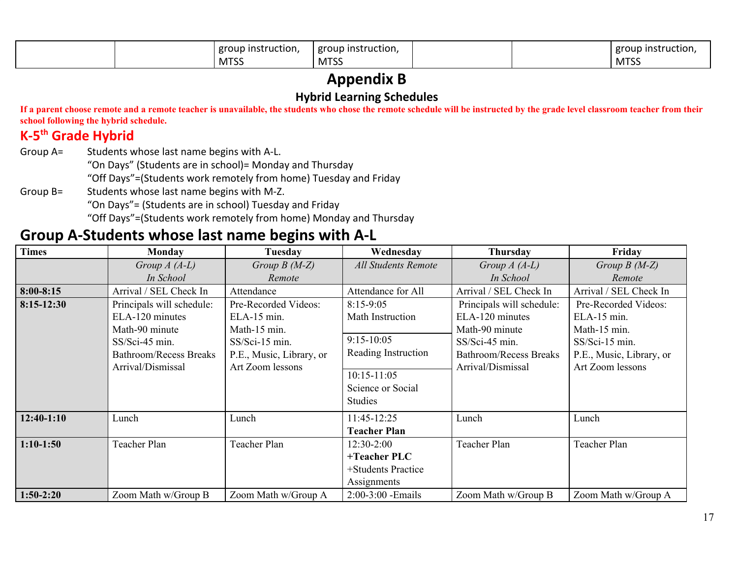|  | group instruction, | Leroup instruction. |  | eroup instruction. |
|--|--------------------|---------------------|--|--------------------|
|  | <b>MTSS</b>        | <b>MTSS</b>         |  | 1000<br>ככו ועו    |

### **Appendix B**

#### **Hybrid Learning Schedules**

If a parent choose remote and a remote teacher is unavailable, the students who chose the remote schedule will be instructed by the grade level classroom teacher from their **school following the hybrid schedule.**

#### **K-5 th Grade Hybrid**

Group A= Students whose last name begins with A-L.

"On Days" (Students are in school)= Monday and Thursday

"Off Days"=(Students work remotely from home) Tuesday and Friday

Group B= Students whose last name begins with M-Z.

"On Days"= (Students are in school) Tuesday and Friday

"Off Days"=(Students work remotely from home) Monday and Thursday

### **Group A-Students whose last name begins with A-L**

| <b>Times</b>  | Monday                      | Tuesday                  | Wednesday                  | Thursday                    | Friday                   |
|---------------|-----------------------------|--------------------------|----------------------------|-----------------------------|--------------------------|
|               | Group $A(A-L)$<br>In School | Group $B(M-Z)$<br>Remote | <b>All Students Remote</b> | Group $A(A-L)$<br>In School | Group $B(M-Z)$<br>Remote |
|               |                             |                          |                            |                             |                          |
| $8:00 - 8:15$ | Arrival / SEL Check In      | Attendance               | Attendance for All         | Arrival / SEL Check In      | Arrival / SEL Check In   |
| $8:15-12:30$  | Principals will schedule:   | Pre-Recorded Videos:     | $8:15-9:05$                | Principals will schedule:   | Pre-Recorded Videos:     |
|               | ELA-120 minutes             | $ELA-15$ min.            | Math Instruction           | ELA-120 minutes             | ELA-15 min.              |
|               | Math-90 minute              | Math-15 min.             |                            | Math-90 minute              | Math-15 min.             |
|               | SS/Sci-45 min.              | SS/Sci-15 min.           | $9:15-10:05$               | SS/Sci-45 min.              | SS/Sci-15 min.           |
|               | Bathroom/Recess Breaks      | P.E., Music, Library, or | Reading Instruction        | Bathroom/Recess Breaks      | P.E., Music, Library, or |
|               | Arrival/Dismissal           | Art Zoom lessons         |                            | Arrival/Dismissal           | Art Zoom lessons         |
|               |                             |                          | $10:15 - 11:05$            |                             |                          |
|               |                             |                          | Science or Social          |                             |                          |
|               |                             |                          | <b>Studies</b>             |                             |                          |
| $12:40-1:10$  | Lunch                       | Lunch                    | 11:45-12:25                | Lunch                       | Lunch                    |
|               |                             |                          | <b>Teacher Plan</b>        |                             |                          |
| $1:10-1:50$   | Teacher Plan                | Teacher Plan             | $12:30-2:00$               | Teacher Plan                | Teacher Plan             |
|               |                             |                          | $+Teacher$ PLC             |                             |                          |
|               |                             |                          | +Students Practice         |                             |                          |
|               |                             |                          | Assignments                |                             |                          |
| $1:50-2:20$   | Zoom Math w/Group B         | Zoom Math w/Group A      | $2:00-3:00$ -Emails        | Zoom Math w/Group B         | Zoom Math w/Group A      |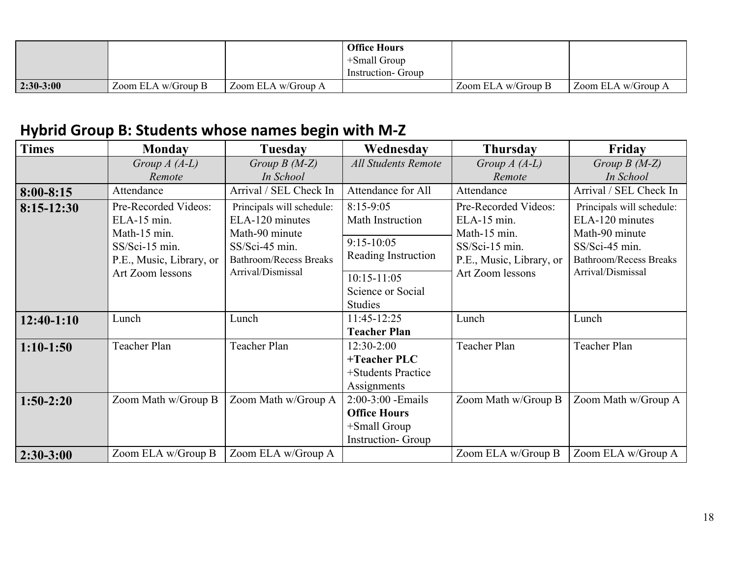|             |                    |                       | <b>Office Hours</b><br>$+$ Small Group |                    |                    |
|-------------|--------------------|-----------------------|----------------------------------------|--------------------|--------------------|
|             |                    |                       | Instruction- Group                     |                    |                    |
| $2:30-3:00$ | Zoom ELA w/Group B | Zoom ELA $w/G$ roup A |                                        | Zoom ELA w/Group B | Zoom ELA w/Group A |

### **Hybrid Group B: Students whose names begin with M-Z**

| <b>Times</b>  | <b>Monday</b>                                                                                                         | <b>Tuesday</b>                                                                                                                         | Wednesday                                                                              | <b>Thursday</b>                                                                                                       | Friday                                                                                                                                 |
|---------------|-----------------------------------------------------------------------------------------------------------------------|----------------------------------------------------------------------------------------------------------------------------------------|----------------------------------------------------------------------------------------|-----------------------------------------------------------------------------------------------------------------------|----------------------------------------------------------------------------------------------------------------------------------------|
|               | Group $A(A-L)$                                                                                                        | Group $B(M-Z)$                                                                                                                         | <b>All Students Remote</b>                                                             | Group $A(A-L)$                                                                                                        | Group $B(M-Z)$                                                                                                                         |
|               | Remote                                                                                                                | In School                                                                                                                              |                                                                                        | Remote                                                                                                                | In School                                                                                                                              |
| $8:00 - 8:15$ | Attendance                                                                                                            | Arrival / SEL Check In                                                                                                                 | Attendance for All                                                                     | Attendance                                                                                                            | Arrival / SEL Check In                                                                                                                 |
| $8:15-12:30$  | Pre-Recorded Videos:<br>ELA-15 min.<br>Math-15 min.<br>SS/Sci-15 min.<br>P.E., Music, Library, or<br>Art Zoom lessons | Principals will schedule:<br>ELA-120 minutes<br>Math-90 minute<br>SS/Sci-45 min.<br><b>Bathroom/Recess Breaks</b><br>Arrival/Dismissal | $8:15-9:05$<br>Math Instruction<br>$9:15-10:05$<br>Reading Instruction                 | Pre-Recorded Videos:<br>ELA-15 min.<br>Math-15 min.<br>SS/Sci-15 min.<br>P.E., Music, Library, or<br>Art Zoom lessons | Principals will schedule:<br>ELA-120 minutes<br>Math-90 minute<br>SS/Sci-45 min.<br><b>Bathroom/Recess Breaks</b><br>Arrival/Dismissal |
|               |                                                                                                                       | $10:15 - 11:05$<br>Science or Social<br><b>Studies</b>                                                                                 |                                                                                        |                                                                                                                       |                                                                                                                                        |
| $12:40-1:10$  | Lunch                                                                                                                 | Lunch                                                                                                                                  | 11:45-12:25<br><b>Teacher Plan</b>                                                     | Lunch                                                                                                                 | Lunch                                                                                                                                  |
| $1:10-1:50$   | Teacher Plan                                                                                                          | Teacher Plan                                                                                                                           | 12:30-2:00<br>+Teacher PLC<br>+Students Practice<br>Assignments                        | Teacher Plan                                                                                                          | Teacher Plan                                                                                                                           |
| $1:50-2:20$   | Zoom Math w/Group B                                                                                                   | Zoom Math w/Group A                                                                                                                    | 2:00-3:00 - Emails<br><b>Office Hours</b><br>+Small Group<br><b>Instruction-</b> Group | Zoom Math w/Group B                                                                                                   | Zoom Math w/Group A                                                                                                                    |
| $2:30-3:00$   | Zoom ELA w/Group B                                                                                                    | Zoom ELA w/Group A                                                                                                                     |                                                                                        | Zoom ELA w/Group B                                                                                                    | Zoom ELA w/Group A                                                                                                                     |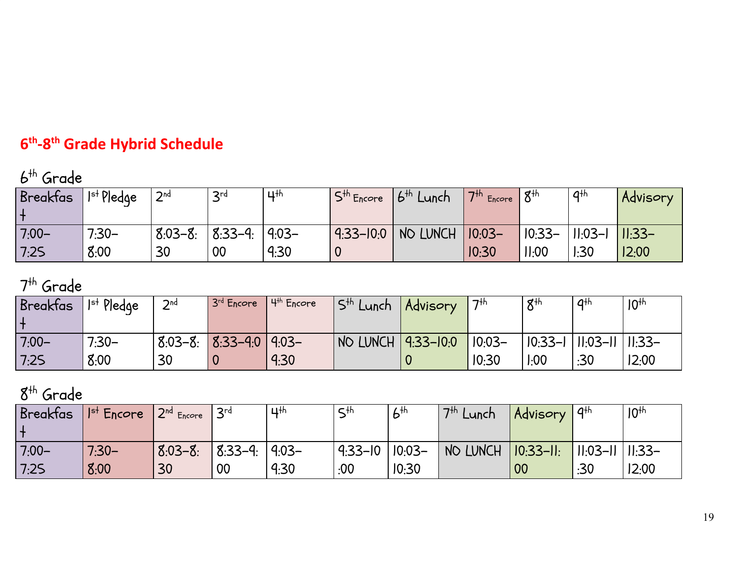### **6 th -8th Grade Hybrid Schedule**

## 6 th Grade

| <b>Breakfas</b> | $ $ l <sup>st</sup> Pledge | 2 <sup>nd</sup> | 2rd       | $\mathbf{u}$ th | $S^{th}$ Encore | $16^{th}$<br>' Lunch | $-17$ <sup>th</sup> Encore 1 <b>u</b> | 8 <sup>th</sup> | 4 <sup>th</sup>                       | Advisory |
|-----------------|----------------------------|-----------------|-----------|-----------------|-----------------|----------------------|---------------------------------------|-----------------|---------------------------------------|----------|
| $7:00-$         | $7:30-$                    | $8:03 - 8:$     | $8:33-9:$ | $-50.9$         | $9:33 - 10:0$   | NO LUNCH             | $10:03-$                              |                 | 「I0:33-  II:03-I <mark> II:33-</mark> |          |
| 7:25            | 8:00                       | 30              | 00        | 9:30            |                 |                      | 10:30                                 | II:00           | 1:30                                  | 12:00    |

### 7<sup>th</sup> Grade

| <b>Breakfas</b> | $Ist$ Pledge    | $\mathcal{D}$ nd | $3rd$ Encore            | $4th$ Encore | Is <sup>th</sup> Lunch    | Advisory | 7 <sup>th</sup>   | 8 <sup>th</sup>                         | a <sup>th</sup> | 10 <sup>th</sup> |
|-----------------|-----------------|------------------|-------------------------|--------------|---------------------------|----------|-------------------|-----------------------------------------|-----------------|------------------|
| $7:00-$<br>7:25 | $7:30-$<br>8:00 | 30               | $8:03-8:8:33-4:0$ 4:03- | 9:30         | NO LUNCH <u>9:33-10:0</u> |          | $10:03-$<br>10:30 | $ 0.33-1 $ $ 1.03-11 $ $ 1.33-$<br>1:00 | :30             | 12:00            |

### 8 th Grade

| <b>Breakfas</b> | $ $ $ $ <sup>st</sup> Encore | $2nd$ Encore | $\mathsf{I}$ 3rd   | $\mathbf{u}$ th | $C + h$     | 6 <sup>th</sup> | 7 <sup>th</sup><br>Lunch | Advisory        | 4 <sup>th</sup>   | 10 <sup>th</sup> |
|-----------------|------------------------------|--------------|--------------------|-----------------|-------------|-----------------|--------------------------|-----------------|-------------------|------------------|
| $7:00-$         | $7:30-$                      | $8:03 - 8:$  | $8.33 - 9.19.03 -$ |                 | $9:33 - 10$ | $10:03-$        | NO LUNCH                 | $  10:33 - 11 $ | 11:03-11   11:33- |                  |
| 7:25            | 8:00                         | 30           | 00                 | 9:30            | .00.        | 10:30           |                          | 00              | :30               | 12:00            |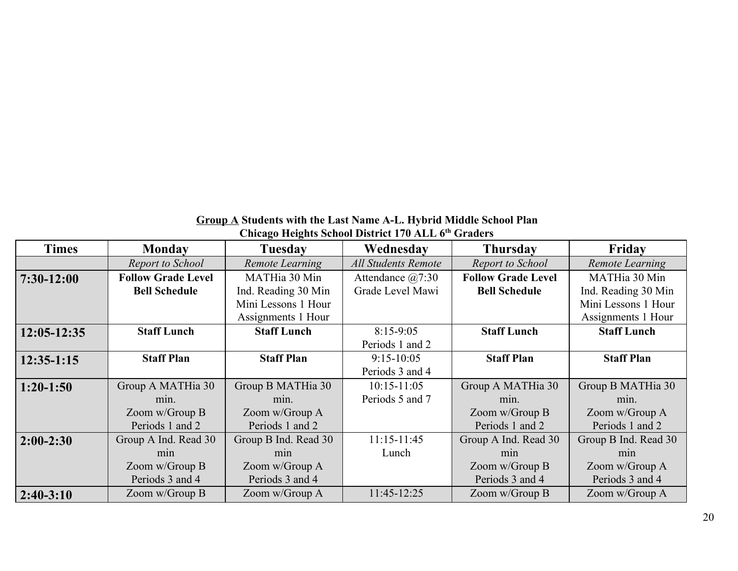| <b>Group A</b> Students with the Last Name A-L. Hybrid Middle School Plan |
|---------------------------------------------------------------------------|
| Chicago Heights School District 170 ALL 6th Graders                       |

| <b>Times</b>    | <b>Monday</b>             | Tuesday              | Wednesday                  | <b>Thursday</b>           | Friday               |
|-----------------|---------------------------|----------------------|----------------------------|---------------------------|----------------------|
|                 | Report to School          | Remote Learning      | <b>All Students Remote</b> | Report to School          | Remote Learning      |
| $7:30-12:00$    | <b>Follow Grade Level</b> | MATHia 30 Min        | Attendance $(a)7:30$       | <b>Follow Grade Level</b> | MATHia 30 Min        |
|                 | <b>Bell Schedule</b>      | Ind. Reading 30 Min  | Grade Level Mawi           | <b>Bell Schedule</b>      | Ind. Reading 30 Min  |
|                 |                           | Mini Lessons 1 Hour  |                            |                           | Mini Lessons 1 Hour  |
|                 |                           | Assignments 1 Hour   |                            |                           | Assignments 1 Hour   |
| $12:05 - 12:35$ | <b>Staff Lunch</b>        | <b>Staff Lunch</b>   | $8:15-9:05$                | <b>Staff Lunch</b>        | <b>Staff Lunch</b>   |
|                 |                           |                      | Periods 1 and 2            |                           |                      |
| $12:35-1:15$    | <b>Staff Plan</b>         | <b>Staff Plan</b>    | $9:15-10:05$               | <b>Staff Plan</b>         | <b>Staff Plan</b>    |
|                 |                           |                      | Periods 3 and 4            |                           |                      |
| $1:20-1:50$     | Group A MATHia 30         | Group B MATHia 30    | $10:15 - 11:05$            | Group A MATHia 30         | Group B MATHia 30    |
|                 | min.                      | min.                 | Periods 5 and 7            | min.                      | min.                 |
|                 | Zoom w/Group B            | Zoom w/Group A       |                            | Zoom w/Group B            | Zoom w/Group A       |
|                 | Periods 1 and 2           | Periods 1 and 2      |                            | Periods 1 and 2           | Periods 1 and 2      |
| $2:00-2:30$     | Group A Ind. Read 30      | Group B Ind. Read 30 | $11:15 - 11:45$            | Group A Ind. Read 30      | Group B Ind. Read 30 |
|                 | m <sub>1</sub> n          | m <sub>1</sub> n     | Lunch                      | min                       | min                  |
|                 | Zoom w/Group B            | Zoom w/Group A       |                            | Zoom w/Group B            | Zoom w/Group A       |
|                 | Periods 3 and 4           | Periods 3 and 4      |                            | Periods 3 and 4           | Periods 3 and 4      |
| $2:40-3:10$     | Zoom w/Group B            | Zoom w/Group A       | 11:45-12:25                | Zoom w/Group B            | Zoom w/Group A       |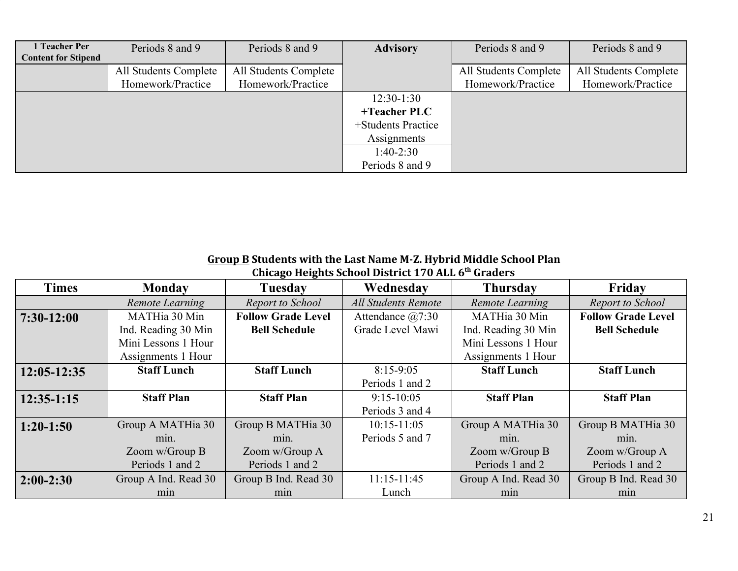| 1 Teacher Per<br><b>Content for Stipend</b> | Periods 8 and 9                            | Periods 8 and 9                            | <b>Advisory</b>    | Periods 8 and 9                            | Periods 8 and 9                            |
|---------------------------------------------|--------------------------------------------|--------------------------------------------|--------------------|--------------------------------------------|--------------------------------------------|
|                                             | All Students Complete<br>Homework/Practice | All Students Complete<br>Homework/Practice |                    | All Students Complete<br>Homework/Practice | All Students Complete<br>Homework/Practice |
|                                             |                                            |                                            | $12:30-1:30$       |                                            |                                            |
|                                             |                                            |                                            | $+Teacher$ PLC     |                                            |                                            |
|                                             |                                            |                                            | +Students Practice |                                            |                                            |
|                                             |                                            |                                            | Assignments        |                                            |                                            |
|                                             |                                            |                                            | $1:40-2:30$        |                                            |                                            |
|                                             |                                            |                                            | Periods 8 and 9    |                                            |                                            |

#### **Group B Students with the Last Name M-Z. Hybrid Middle School Plan**

| <b>Times</b>    | <b>Monday</b>        | Tuesday                   | Wednesday                  | <b>Thursday</b>      | Friday                    |
|-----------------|----------------------|---------------------------|----------------------------|----------------------|---------------------------|
|                 | Remote Learning      | Report to School          | <b>All Students Remote</b> | Remote Learning      | Report to School          |
| $7:30-12:00$    | MATHia 30 Min        | <b>Follow Grade Level</b> | Attendance $(a)7:30$       | MATHia 30 Min        | <b>Follow Grade Level</b> |
|                 | Ind. Reading 30 Min  | <b>Bell Schedule</b>      | Grade Level Mawi           | Ind. Reading 30 Min  | <b>Bell Schedule</b>      |
|                 | Mini Lessons 1 Hour  |                           |                            | Mini Lessons 1 Hour  |                           |
|                 | Assignments 1 Hour   |                           |                            | Assignments 1 Hour   |                           |
| $12:05 - 12:35$ | <b>Staff Lunch</b>   | <b>Staff Lunch</b>        | $8:15-9:05$                | <b>Staff Lunch</b>   | <b>Staff Lunch</b>        |
|                 |                      |                           | Periods 1 and 2            |                      |                           |
| $12:35-1:15$    | <b>Staff Plan</b>    | <b>Staff Plan</b>         | $9:15 - 10:05$             | <b>Staff Plan</b>    | <b>Staff Plan</b>         |
|                 |                      |                           | Periods 3 and 4            |                      |                           |
| $1:20-1:50$     | Group A MATHia 30    | Group B MATHia 30         | $10:15 - 11:05$            | Group A MATHia 30    | Group B MATHia 30         |
|                 | min.                 | min.                      | Periods 5 and 7            | min.                 | min.                      |
|                 | Zoom w/Group B       | Zoom w/Group A            |                            | Zoom w/Group B       | Zoom w/Group A            |
|                 | Periods 1 and 2      | Periods 1 and 2           |                            | Periods 1 and 2      | Periods 1 and 2           |
| $2:00-2:30$     | Group A Ind. Read 30 | Group B Ind. Read 30      | $11:15 - 11:45$            | Group A Ind. Read 30 | Group B Ind. Read 30      |
|                 | min                  | min                       | Lunch                      | min                  | min                       |

**Chicago Heights School District 170 ALL 6th Graders**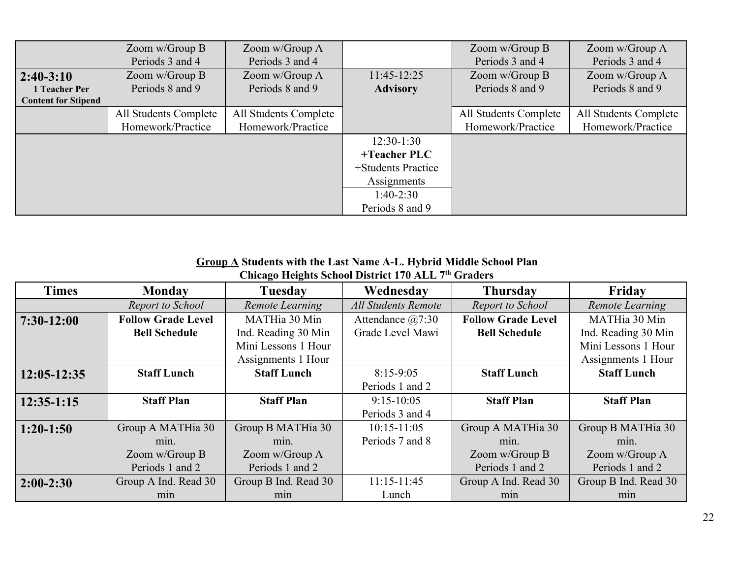|                            | Zoom w/Group B        | Zoom w/Group A        |                    | Zoom w/Group B        | Zoom w/Group A        |
|----------------------------|-----------------------|-----------------------|--------------------|-----------------------|-----------------------|
|                            | Periods 3 and 4       | Periods 3 and 4       |                    | Periods 3 and 4       | Periods 3 and 4       |
| $2:40-3:10$                | Zoom w/Group B        | Zoom w/Group A        | $11:45-12:25$      | Zoom w/Group B        | Zoom w/Group A        |
| 1 Teacher Per              | Periods 8 and 9       | Periods 8 and 9       | <b>Advisory</b>    | Periods 8 and 9       | Periods 8 and 9       |
| <b>Content for Stipend</b> |                       |                       |                    |                       |                       |
|                            | All Students Complete | All Students Complete |                    | All Students Complete | All Students Complete |
|                            | Homework/Practice     | Homework/Practice     |                    | Homework/Practice     | Homework/Practice     |
|                            |                       |                       | $12:30-1:30$       |                       |                       |
|                            |                       |                       | $+Teacher$ PLC     |                       |                       |
|                            |                       |                       | +Students Practice |                       |                       |
|                            |                       |                       | Assignments        |                       |                       |
|                            |                       |                       | $1:40-2:30$        |                       |                       |
|                            |                       |                       | Periods 8 and 9    |                       |                       |

#### **Group A Students with the Last Name A-L. Hybrid Middle School Plan Chicago Heights School District 170 ALL 7th Graders**

| <b>Times</b>    | <b>Monday</b>             | <b>Tuesday</b>       | Wednesday                  | <b>Thursday</b>           | Friday                 |
|-----------------|---------------------------|----------------------|----------------------------|---------------------------|------------------------|
|                 | Report to School          | Remote Learning      | <b>All Students Remote</b> | Report to School          | <b>Remote Learning</b> |
| $7:30-12:00$    | <b>Follow Grade Level</b> | MATHia 30 Min        | Attendance $(a)7:30$       | <b>Follow Grade Level</b> | MATHia 30 Min          |
|                 | <b>Bell Schedule</b>      | Ind. Reading 30 Min  | Grade Level Mawi           | <b>Bell Schedule</b>      | Ind. Reading 30 Min    |
|                 |                           | Mini Lessons 1 Hour  |                            |                           | Mini Lessons 1 Hour    |
|                 |                           | Assignments 1 Hour   |                            |                           | Assignments 1 Hour     |
| $12:05 - 12:35$ | <b>Staff Lunch</b>        | <b>Staff Lunch</b>   | $8:15-9:05$                | <b>Staff Lunch</b>        | <b>Staff Lunch</b>     |
|                 |                           |                      | Periods 1 and 2            |                           |                        |
| $12:35-1:15$    | <b>Staff Plan</b>         | <b>Staff Plan</b>    | $9:15-10:05$               | <b>Staff Plan</b>         | <b>Staff Plan</b>      |
|                 |                           |                      | Periods 3 and 4            |                           |                        |
| $1:20-1:50$     | Group A MATHia 30         | Group B MATHia 30    | $10:15 - 11:05$            | Group A MATHia 30         | Group B MATHia 30      |
|                 | min.                      | min.                 | Periods 7 and 8            | min.                      | min.                   |
|                 | Zoom w/Group B            | Zoom w/Group A       |                            | Zoom $w/G$ roup B         | Zoom w/Group A         |
|                 | Periods 1 and 2           | Periods 1 and 2      |                            | Periods 1 and 2           | Periods 1 and 2        |
| $2:00-2:30$     | Group A Ind. Read 30      | Group B Ind. Read 30 | $11:15-11:45$              | Group A Ind. Read 30      | Group B Ind. Read 30   |
|                 | min                       | min                  | Lunch                      | min                       | min                    |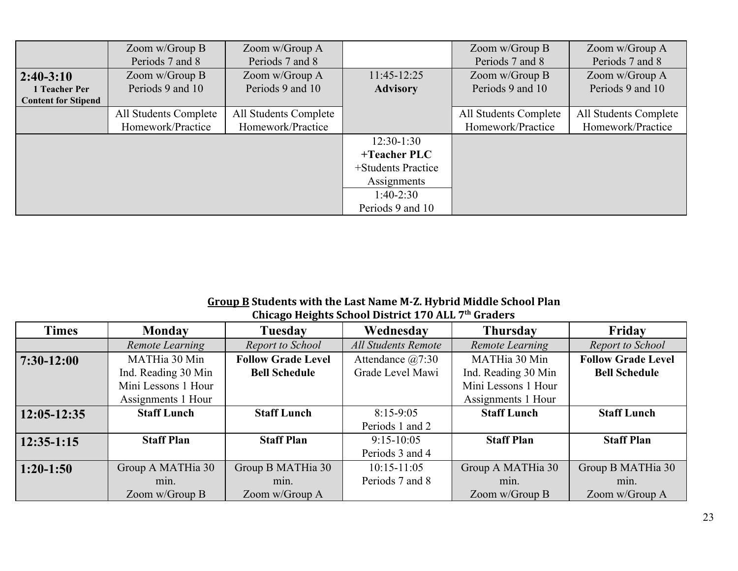|                            | Zoom w/Group B        | Zoom w/Group A        |                    | Zoom w/Group B        | Zoom w/Group A        |
|----------------------------|-----------------------|-----------------------|--------------------|-----------------------|-----------------------|
|                            | Periods 7 and 8       | Periods 7 and 8       |                    | Periods 7 and 8       | Periods 7 and 8       |
| $2:40-3:10$                | Zoom w/Group B        | Zoom w/Group A        | $11:45-12:25$      | Zoom w/Group B        | Zoom w/Group A        |
| 1 Teacher Per              | Periods 9 and 10      | Periods 9 and 10      | <b>Advisory</b>    | Periods 9 and 10      | Periods 9 and 10      |
| <b>Content for Stipend</b> |                       |                       |                    |                       |                       |
|                            | All Students Complete | All Students Complete |                    | All Students Complete | All Students Complete |
|                            | Homework/Practice     | Homework/Practice     |                    | Homework/Practice     | Homework/Practice     |
|                            |                       |                       | $12:30-1:30$       |                       |                       |
|                            |                       |                       | $+Teacher$ PLC     |                       |                       |
|                            |                       |                       | +Students Practice |                       |                       |
|                            |                       |                       | Assignments        |                       |                       |
|                            |                       |                       | $1:40-2:30$        |                       |                       |
|                            |                       |                       | Periods 9 and 10   |                       |                       |

#### **Group B Students with the Last Name M-Z. Hybrid Middle School Plan Chicago Heights School District 170 ALL 7th Graders**

| <b>Times</b> | <b>Monday</b>       | Tuesday                   | Wednesday            | <b>Thursday</b>     | Friday                    |
|--------------|---------------------|---------------------------|----------------------|---------------------|---------------------------|
|              | Remote Learning     | Report to School          | All Students Remote  | Remote Learning     | Report to School          |
| $7:30-12:00$ | MATHia 30 Min       | <b>Follow Grade Level</b> | Attendance $(a)7:30$ | MATHia 30 Min       | <b>Follow Grade Level</b> |
|              | Ind. Reading 30 Min | <b>Bell Schedule</b>      | Grade Level Mawi     | Ind. Reading 30 Min | <b>Bell Schedule</b>      |
|              | Mini Lessons 1 Hour |                           |                      | Mini Lessons 1 Hour |                           |
|              | Assignments 1 Hour  |                           |                      | Assignments 1 Hour  |                           |
| 12:05-12:35  | <b>Staff Lunch</b>  | <b>Staff Lunch</b>        | $8:15-9:05$          | <b>Staff Lunch</b>  | <b>Staff Lunch</b>        |
|              |                     |                           | Periods 1 and 2      |                     |                           |
| $12:35-1:15$ | <b>Staff Plan</b>   | <b>Staff Plan</b>         | $9:15-10:05$         | <b>Staff Plan</b>   | <b>Staff Plan</b>         |
|              |                     |                           | Periods 3 and 4      |                     |                           |
| $1:20-1:50$  | Group A MATHia 30   | Group B MATHia 30         | $10:15 - 11:05$      | Group A MATHia 30   | Group B MATHia 30         |
|              | min.                | min.                      | Periods 7 and 8      | min.                | min.                      |
|              | Zoom $w/G$ roup B   | Zoom w/Group A            |                      | Zoom w/Group B      | Zoom w/Group A            |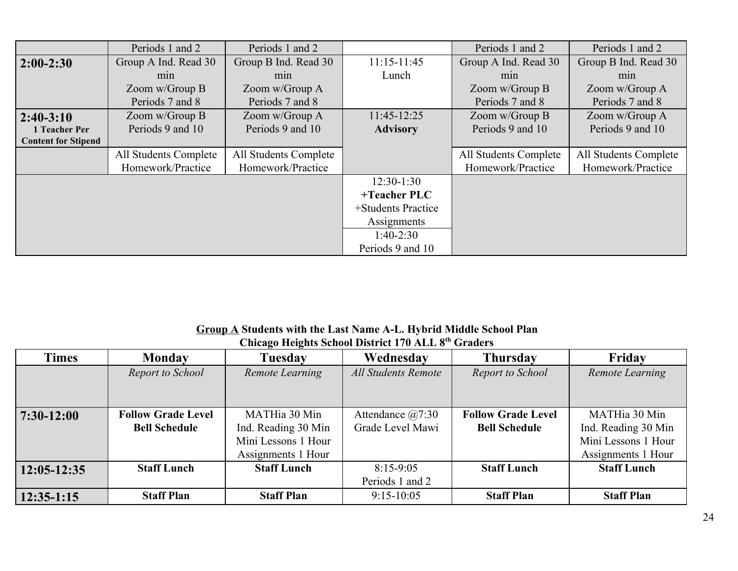|                            | Periods 1 and 2       | Periods 1 and 2       |                    | Periods 1 and 2       | Periods 1 and 2       |
|----------------------------|-----------------------|-----------------------|--------------------|-----------------------|-----------------------|
| $ 2:00-2:30 $              | Group A Ind. Read 30  | Group B Ind. Read 30  | $11:15-11:45$      | Group A Ind. Read 30  | Group B Ind. Read 30  |
|                            | m <sub>1</sub> n      | min                   | Lunch              | min                   | min                   |
|                            | Zoom w/Group B        | Zoom w/Group A        |                    | Zoom w/Group B        | Zoom w/Group A        |
|                            | Periods 7 and 8       | Periods 7 and 8       |                    | Periods 7 and 8       | Periods 7 and 8       |
| $ 2:40-3:10$               | Zoom w/Group B        | Zoom w/Group A        | 11:45-12:25        | Zoom w/Group B        | Zoom w/Group A        |
| 1 Teacher Per              | Periods 9 and 10      | Periods 9 and 10      | <b>Advisory</b>    | Periods 9 and 10      | Periods 9 and 10      |
| <b>Content for Stipend</b> |                       |                       |                    |                       |                       |
|                            | All Students Complete | All Students Complete |                    | All Students Complete | All Students Complete |
|                            | Homework/Practice     | Homework/Practice     |                    | Homework/Practice     | Homework/Practice     |
|                            |                       |                       | $12:30-1:30$       |                       |                       |
|                            |                       |                       | +Teacher PLC       |                       |                       |
|                            |                       |                       | +Students Practice |                       |                       |
|                            |                       |                       | Assignments        |                       |                       |
|                            |                       |                       | $1:40-2:30$        |                       |                       |
|                            |                       |                       | Periods 9 and 10   |                       |                       |

**Group A Students with the Last Name A-L. Hybrid Middle School Plan Chicago Heights School District 170 ALL 8th Graders**

| <b>Times</b>  | <b>Monday</b>             | <b>Tuesday</b>      | Wednesday                  | <b>Thursday</b>           | Friday              |
|---------------|---------------------------|---------------------|----------------------------|---------------------------|---------------------|
|               | Report to School          | Remote Learning     | <b>All Students Remote</b> | Report to School          | Remote Learning     |
|               |                           |                     |                            |                           |                     |
|               |                           |                     |                            |                           |                     |
| $7:30-12:00$  | <b>Follow Grade Level</b> | MATHia 30 Min       | Attendance $(a)7:30$       | <b>Follow Grade Level</b> | MATHia 30 Min       |
|               | <b>Bell Schedule</b>      | Ind. Reading 30 Min | Grade Level Mawi           | <b>Bell Schedule</b>      | Ind. Reading 30 Min |
|               |                           | Mini Lessons 1 Hour |                            |                           | Mini Lessons 1 Hour |
|               |                           | Assignments 1 Hour  |                            |                           | Assignments 1 Hour  |
| $12:05-12:35$ | <b>Staff Lunch</b>        | <b>Staff Lunch</b>  | $8:15-9:05$                | <b>Staff Lunch</b>        | <b>Staff Lunch</b>  |
|               |                           |                     | Periods 1 and 2            |                           |                     |
| $12:35-1:15$  | <b>Staff Plan</b>         | <b>Staff Plan</b>   | $9:15-10:05$               | <b>Staff Plan</b>         | <b>Staff Plan</b>   |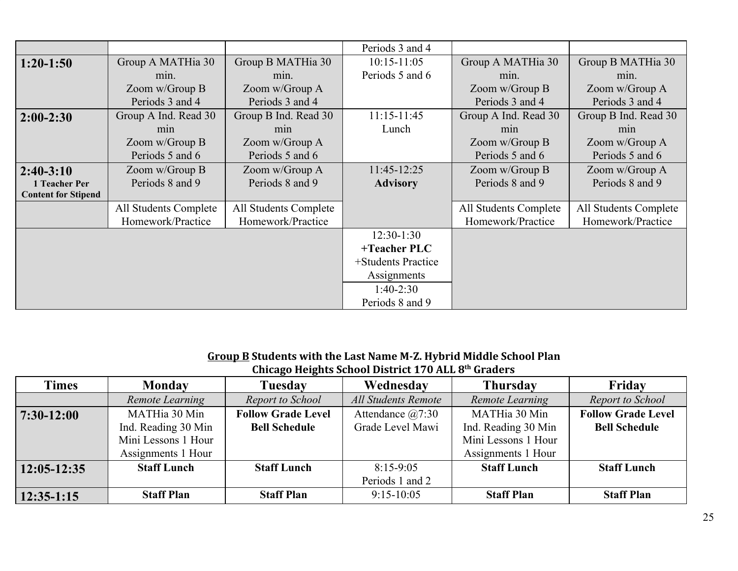|                            |                       |                       | Periods 3 and 4    |                       |                       |
|----------------------------|-----------------------|-----------------------|--------------------|-----------------------|-----------------------|
| $1:20-1:50$                | Group A MATHia 30     | Group B MATHia 30     | $10:15 - 11:05$    | Group A MATHia 30     | Group B MATHia 30     |
|                            | min.                  | min.                  | Periods 5 and 6    | min.                  | min.                  |
|                            | Zoom w/Group B        | Zoom w/Group A        |                    | Zoom w/Group B        | Zoom w/Group A        |
|                            | Periods 3 and 4       | Periods 3 and 4       |                    | Periods 3 and 4       | Periods 3 and 4       |
| $2:00-2:30$                | Group A Ind. Read 30  | Group B Ind. Read 30  | $11:15 - 11:45$    | Group A Ind. Read 30  | Group B Ind. Read 30  |
|                            | m <sub>1</sub>        | min                   | Lunch              | min                   | min                   |
|                            | Zoom w/Group B        | Zoom w/Group A        |                    | Zoom w/Group B        | Zoom w/Group A        |
|                            | Periods 5 and 6       | Periods 5 and 6       |                    | Periods 5 and 6       | Periods 5 and 6       |
| $2:40-3:10$                | Zoom w/Group B        | Zoom w/Group A        | $11:45-12:25$      | Zoom w/Group B        | Zoom w/Group A        |
| 1 Teacher Per              | Periods 8 and 9       | Periods 8 and 9       | <b>Advisory</b>    | Periods 8 and 9       | Periods 8 and 9       |
| <b>Content for Stipend</b> |                       |                       |                    |                       |                       |
|                            | All Students Complete | All Students Complete |                    | All Students Complete | All Students Complete |
|                            | Homework/Practice     | Homework/Practice     |                    | Homework/Practice     | Homework/Practice     |
|                            |                       |                       | $12:30-1:30$       |                       |                       |
|                            |                       |                       | +Teacher PLC       |                       |                       |
|                            |                       |                       | +Students Practice |                       |                       |
|                            |                       |                       | Assignments        |                       |                       |
|                            |                       |                       | $1:40-2:30$        |                       |                       |
|                            |                       |                       | Periods 8 and 9    |                       |                       |

#### **Group B Students with the Last Name M-Z. Hybrid Middle School Plan Chicago Heights School District 170 ALL 8th Graders**

| <b>Times</b>  | <b>Monday</b>       | <b>Tuesday</b>            | Wednesday                  | <b>Thursday</b>     | Fridav                    |
|---------------|---------------------|---------------------------|----------------------------|---------------------|---------------------------|
|               | Remote Learning     | Report to School          | <b>All Students Remote</b> | Remote Learning     | Report to School          |
| $7:30-12:00$  | MATHia 30 Min       | <b>Follow Grade Level</b> | Attendance $(a)7:30$       | MATHia 30 Min       | <b>Follow Grade Level</b> |
|               | Ind. Reading 30 Min | <b>Bell Schedule</b>      | Grade Level Mawi           | Ind. Reading 30 Min | <b>Bell Schedule</b>      |
|               | Mini Lessons 1 Hour |                           |                            | Mini Lessons 1 Hour |                           |
|               | Assignments 1 Hour  |                           |                            | Assignments 1 Hour  |                           |
| $12:05-12:35$ | <b>Staff Lunch</b>  | <b>Staff Lunch</b>        | $8:15-9:05$                | <b>Staff Lunch</b>  | <b>Staff Lunch</b>        |
|               |                     |                           | Periods 1 and 2            |                     |                           |
| $12:35-1:15$  | <b>Staff Plan</b>   | <b>Staff Plan</b>         | $9:15-10:05$               | <b>Staff Plan</b>   | <b>Staff Plan</b>         |